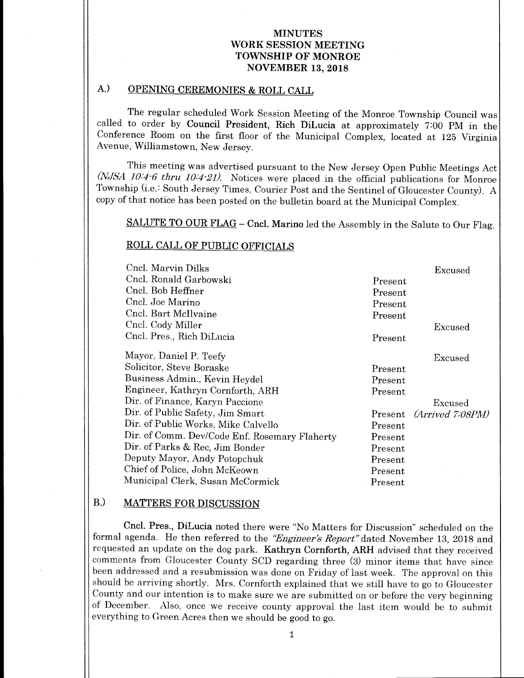### MINUTES WORK SESSION MEETING TOWNSHIP OF MONROE NOVEMBER 13, 2018

## A.) OPENING CEREMONIES & ROLL CALL

The regular scheduled Work Session Meeting of the Monroe Township Council was called to order by Council President, Rich DiLucia at approximately 7:00 PM in the Conference Room on the first floor of the Municipal Complex, located at 125 Virginia Avenue, Williamstown, New Jersey.

This meeting was advertised pursuant to the New Jersey Open Public Meetings Act  $(NJSA$  10:4-6 thru 10:4-21). Notices were placed in the official publications for Monroe Township (i.e.: South Jersey Times, Courier Post and the Sentinel of Gloucester County). <sup>A</sup> copy of that notice has been posted on the bulletin board at the Municipal Complex.

SALUTE TO OUR FLAG - Cncl. Marino led the Assembly in the Salute to Our Flag.

### ROLL CALL OF PUBLIC OFFICIALS

| Cncl. Marvin Dilks                            |         | Excused          |
|-----------------------------------------------|---------|------------------|
| Cncl. Ronald Garbowski                        | Present |                  |
| Cncl. Bob Heffner                             | Present |                  |
| Cncl. Joe Marino                              | Present |                  |
| Cncl. Bart McIlvaine                          | Present |                  |
| Cncl. Cody Miller                             |         | Excused          |
| Cncl. Pres., Rich DiLucia                     | Present |                  |
| Mayor, Daniel P. Teefy                        |         | Excused          |
| Solicitor, Steve Boraske                      | Present |                  |
| Business Admin., Kevin Heydel                 | Present |                  |
| Engineer, Kathryn Cornforth, ARH              | Present |                  |
| Dir. of Finance, Karyn Paccione               |         | Excused          |
| Dir. of Public Safety, Jim Smart              | Present | (Arrived 7:08PM) |
| Dir. of Public Works, Mike Calvello           | Present |                  |
| Dir. of Comm. Dev/Code Enf. Rosemary Flaherty | Present |                  |
| Dir. of Parks & Rec. Jim Bonder               | Present |                  |
| Deputy Mayor, Andy Potopchuk                  | Present |                  |
| Chief of Police, John McKeown                 | Present |                  |
| Municipal Clerk, Susan McCormick              | Present |                  |

## B.) MATTERS FOR DISCUSSION

Cncl. Pres., DiLucia noted there were " No Matters for Discussion" scheduled on the formal agenda. He then referred to the "Engineer's Report" dated November 13, 2018 and requested an update on the dog park. Kathryn Cornforth, ARH advised that they received comments from Gloucester County SCD regarding three (3) minor items that have since been addressed and <sup>a</sup> resubmission was done on Friday of last week. The approval on this should be arriving shortly. Mrs. Cornforth explained that we still have to go to Gloucester County and our intention is to make sure we are submitted on or before the very beginning of December. Also, once we receive county approval the last item would be to submit everything to Green Acres then we should be good to go.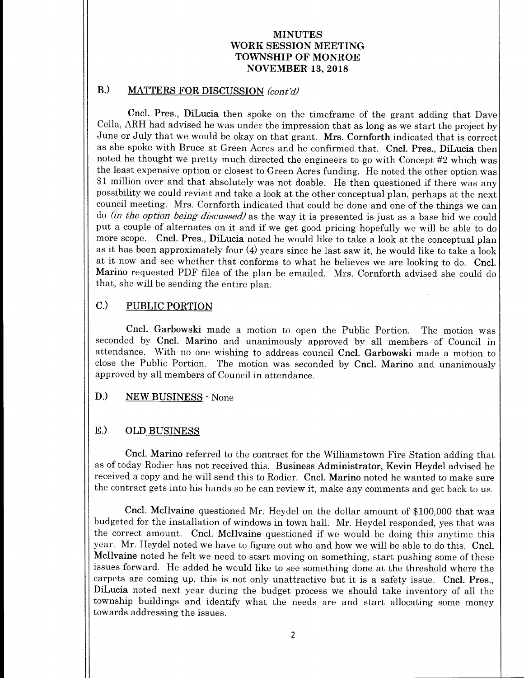### MINUTES WORK SESSION MEETING TOWNSHIP OF MONROE NOVEMBER 13, 2018

# B.) MATTERS FOR DISCUSSION (cont'd)

Cncl. Pres., DiLucia then spoke on the timeframe of the grant adding that Dave Cella, ARH had advised he was under the impression that as long as we start the project by June or July that we would be okay on that grant. Mrs. Cornforth indicated that is correct as she spoke with Bruce at Green Acres and he confirmed that. Cncl. Pres., DiLucia then noted he thought we pretty much directed the engineers to go with Concept  $#2$  which was the least expensive option or closest to Green Acres funding. He noted the other option was <sup>1</sup> million over and that absolutely was not doable. He then questioned if there was any possibility we could revisit and take a look at the other conceptual plan, perhaps at the next council meeting. Mrs. Cornforth indicated that could be done and one of the things we can do *(in the option being discussed)* as the way it is presented is just as a base bid we could put <sup>a</sup> couple of alternates on it and if we get good pricing hopefully we will be able to do more scope. Cncl. Pres., DiLucia noted he would like to take <sup>a</sup> look at the conceptual plan as it has been approximately four (4) years since he last saw it, he would like to take <sup>a</sup> look at it now and see whether that conforms to what he believes we are looking to do. Cncl. Marino requested PDF files of the plan be emailed. Mrs. Cornforth advised she could do that, she will be sending the entire plan.

## C.) PUBLIC PORTION

Cncl. Garbowski made a motion to open the Public Portion. The motion was seconded by Cncl. Marino and unanimously approved by all members of Council in attendance. With no one wishing to address council Cncl. Garbowski made <sup>a</sup> motion to close the Public Portion. The motion was seconded by Cncl. Marino and unanimously approved by all members of Council in attendance.

### D.) NEW BUSINESS - None

### E.) OLD BUSINESS

Cncl. Marino referred to the contract for the Williamstown Fire Station adding that as of today Rodier has not received this. Business Administrator, Kevin Heydel advised he received <sup>a</sup> copy and he will send this to Rodier. Cncl. Marino noted he wanted to make sure the contract gets into his hands so he can review it, make any comments and get back to us.

Cncl. McIlvaine questioned Mr. Heydel on the dollar amount of \$100,000 that was budgeted for the installation of windows in town hall. Mr. Heydel responded, yes that was the correct amount. Cncl. Mcllvaine questioned if we would be doing this anytime this year. Mr. Heydel noted we have to figure out who and how we will be able to do this. Cncl. Mcllvaine noted he felt we need to start moving on something, start pushing some of these issues forward. He added he would like to see something done at the threshold where the carpets are coming up, this is not only unattractive but it is <sup>a</sup> safety issue. Cncl. Pres., DiLucia noted next year during the budget process we should take inventory of all the township buildings and identify what the needs are and start allocating some money towards addressing the issues.